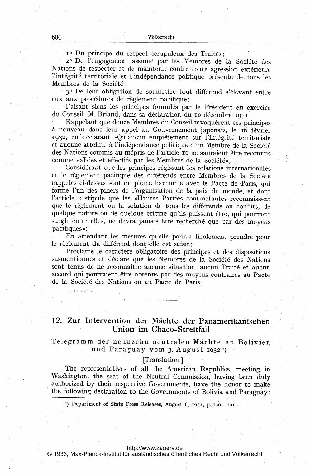1º Du principe du respect scrupuleux des Traités;

2º De l'engagement assumé par les Membres de la Société des Nations de respecter et de maintenir contre toute agression extérieure l'intégrité territoriale et l'indépendance politique présente de tous les Membres de la Société;

3º De leur obligation de soumettre tout différend s'élevant entre eux aux procédures de règlement pacifique;

Faisant siens les principes formulés par le Président en exercice du Conseil, M. Briand, dans sa déclaration du 10 décembre 1931.

Rappelant que douze Membres du Conseil invoquèrent ces principes à nouveau dans leur appel au Gouvernement japonais, le 16 février 1932, en déclarant «Qu'aucun empiétement sur l'intégrité territoriale et aucune atteinte à l'indépendance politique d'un Membre de la Société des Nations commis au mépris de l'article 10 ne sauraient être reconnus comme valides et effectifs par les Membres de la Société»;

Considérant que les principes régissant les relations internationales et le règlement pacifique des différends entre Membres de la Société rappelés ci-dessus sont en pleine harmonie avec le Pacte de Paris, qui forme l'un des piliers de l'organisation de la paix du monde, et dont l'article 2 stipule que les «Hautes Parties contractantes reconnaissent que le règlement ou la solution de tous les différends ou conflits, de quelque nature ou de quelque origine qu'ils puissent être, qui pourront surgir entre elles, ne devra jamais être recherché que par des moyens pacifiques»;

En attendant les mesures qu'elle pourra finalement prendre pour le règlement du différend dont elle est saisie;

Proclame le caractère obligatoire des principes et des dispositions susmentionnés et déclare que les Membres de la Société des Nations sont tenus de ne reconnaître aucune situation, aucun Traité et aucun accord qui pourraient être obtenus par des moyens contraires au Pacte de la Société des Nations ou au Pacte de Paris.

12. Zur Intervention der Mächte der Panamerikanischen Union im Chaco-Streitfall

Telegramm der neunzehn neutralen Mächte an Bolivien und Paraguay vom 3. August  $1932<sup>T</sup>$ 

## [Translation.]

The representatives of all the American Republics, meeting in Washington, the seat of the Neutral Commission, having been duly authorized by their respective Governments, have the honor to make the following declaration to the Governments of Bolivia and Paraguay:

<sup>1</sup>) Department of State Press Releases, August 6, 1932, p. 100-101.

<http://www.zaoerv.de>

© 1933, Max-Planck-Institut für ausländisches öffentliches Recht und Völkerrecht